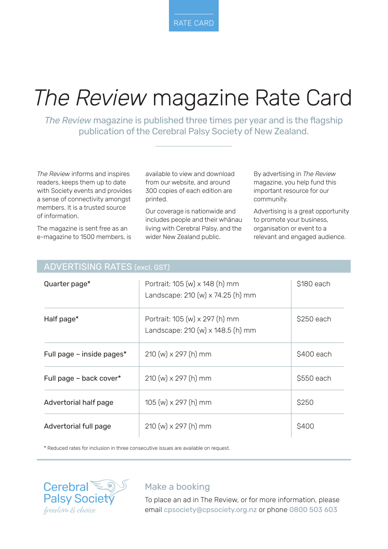# *The Review* magazine Rate Card

*The Review* magazine is published three times per year and is the flagship publication of the Cerebral Palsy Society of New Zealand.

*The Review* informs and inspires readers, keeps them up to date with Society events and provides a sense of connectivity amongst members. It is a trusted source of information.

The magazine is sent free as an e-magazine to 1500 members, is available to view and download from our website, and around 300 copies of each edition are printed.

Our coverage is nationwide and includes people and their whānau living with Cerebral Palsy, and the wider New Zealand public.

By advertising in *The Review* magazine, you help fund this important resource for our community.

Advertising is a great opportunity to promote your business, organisation or event to a relevant and engaged audience.

#### ADVERTISING RATES (excl. GST)

| Quarter page*             | Portrait: 105 (w) x 148 (h) mm<br>Landscape: 210 (w) x 74.25 (h) mm | \$180 each |
|---------------------------|---------------------------------------------------------------------|------------|
| Half page*                | Portrait: 105 (w) x 297 (h) mm<br>Landscape: 210 (w) x 148.5 (h) mm | \$250 each |
| Full page - inside pages* | $210 \, (w) \times 297 \, (h) \, \text{mm}$                         | \$400 each |
| Full page - back cover*   | $210 \, (w) \times 297 \, (h) \, \text{mm}$                         | \$550 each |
| Advertorial half page     | $105 (w) \times 297 (h)$ mm                                         | \$250      |
| Advertorial full page     | $210 \, (w) \times 297 \, (h) \, \text{mm}$                         | \$400      |

\* Reduced rates for inclusion in three consecutive issues are available on request.



#### Make a booking

To place an ad in The Review, or for more information, please email cpsociety@cpsociety.org.nz or phone 0800 503 603